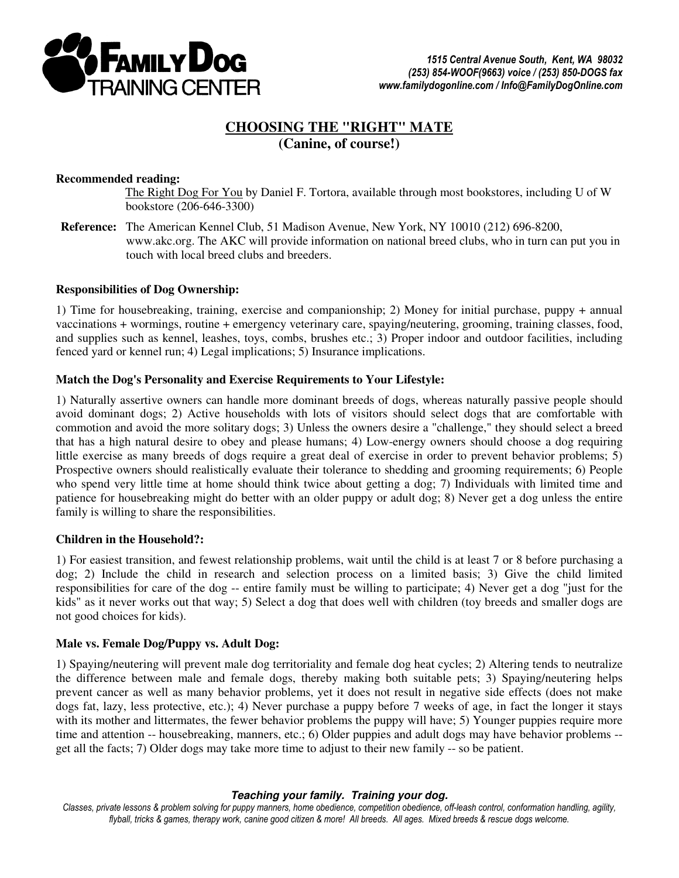

# **CHOOSING THE "RIGHT" MATE (Canine, of course!)**

## **Recommended reading:**

The Right Dog For You by Daniel F. Tortora, available through most bookstores, including U of W bookstore (206-646-3300)

**Reference:** The American Kennel Club, 51 Madison Avenue, New York, NY 10010 (212) 696-8200, www.akc.org. The AKC will provide information on national breed clubs, who in turn can put you in touch with local breed clubs and breeders.

## **Responsibilities of Dog Ownership:**

1) Time for housebreaking, training, exercise and companionship; 2) Money for initial purchase, puppy + annual vaccinations + wormings, routine + emergency veterinary care, spaying/neutering, grooming, training classes, food, and supplies such as kennel, leashes, toys, combs, brushes etc.; 3) Proper indoor and outdoor facilities, including fenced yard or kennel run; 4) Legal implications; 5) Insurance implications.

### **Match the Dog's Personality and Exercise Requirements to Your Lifestyle:**

1) Naturally assertive owners can handle more dominant breeds of dogs, whereas naturally passive people should avoid dominant dogs; 2) Active households with lots of visitors should select dogs that are comfortable with commotion and avoid the more solitary dogs; 3) Unless the owners desire a "challenge," they should select a breed that has a high natural desire to obey and please humans; 4) Low-energy owners should choose a dog requiring little exercise as many breeds of dogs require a great deal of exercise in order to prevent behavior problems; 5) Prospective owners should realistically evaluate their tolerance to shedding and grooming requirements; 6) People who spend very little time at home should think twice about getting a dog; 7) Individuals with limited time and patience for housebreaking might do better with an older puppy or adult dog; 8) Never get a dog unless the entire family is willing to share the responsibilities.

### **Children in the Household?:**

1) For easiest transition, and fewest relationship problems, wait until the child is at least 7 or 8 before purchasing a dog; 2) Include the child in research and selection process on a limited basis; 3) Give the child limited responsibilities for care of the dog -- entire family must be willing to participate; 4) Never get a dog "just for the kids" as it never works out that way; 5) Select a dog that does well with children (toy breeds and smaller dogs are not good choices for kids).

### **Male vs. Female Dog/Puppy vs. Adult Dog:**

1) Spaying/neutering will prevent male dog territoriality and female dog heat cycles; 2) Altering tends to neutralize the difference between male and female dogs, thereby making both suitable pets; 3) Spaying/neutering helps prevent cancer as well as many behavior problems, yet it does not result in negative side effects (does not make dogs fat, lazy, less protective, etc.); 4) Never purchase a puppy before 7 weeks of age, in fact the longer it stays with its mother and littermates, the fewer behavior problems the puppy will have; 5) Younger puppies require more time and attention -- housebreaking, manners, etc.; 6) Older puppies and adult dogs may have behavior problems -get all the facts; 7) Older dogs may take more time to adjust to their new family -- so be patient.

### **Teaching your family. Training your dog.**

Classes, private lessons & problem solving for puppy manners, home obedience, competition obedience, off-leash control, conformation handling, agility, flyball, tricks & games, therapy work, canine good citizen & more! All breeds. All ages. Mixed breeds & rescue dogs welcome.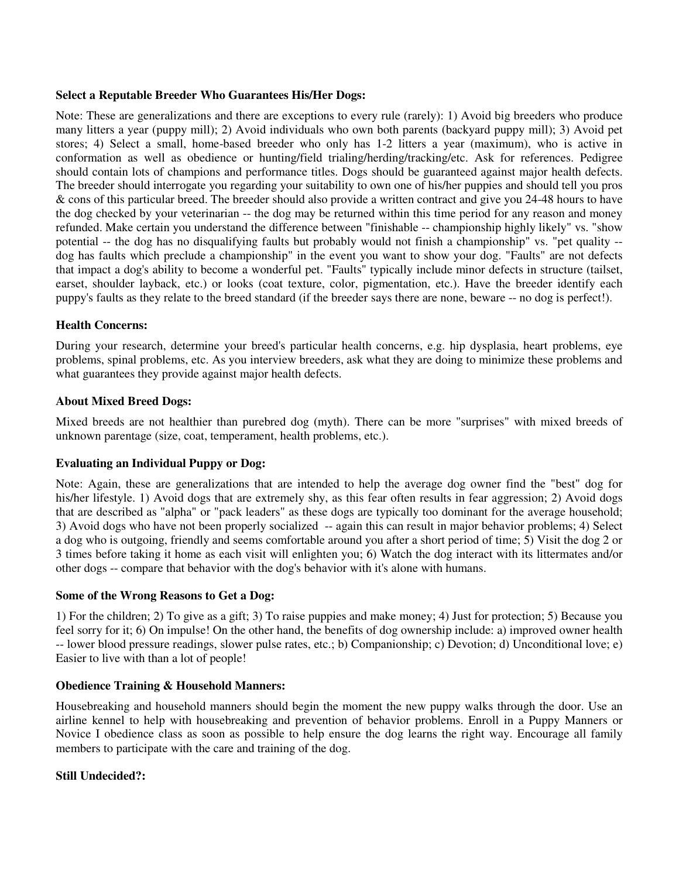# **Select a Reputable Breeder Who Guarantees His/Her Dogs:**

Note: These are generalizations and there are exceptions to every rule (rarely): 1) Avoid big breeders who produce many litters a year (puppy mill); 2) Avoid individuals who own both parents (backyard puppy mill); 3) Avoid pet stores; 4) Select a small, home-based breeder who only has 1-2 litters a year (maximum), who is active in conformation as well as obedience or hunting/field trialing/herding/tracking/etc. Ask for references. Pedigree should contain lots of champions and performance titles. Dogs should be guaranteed against major health defects. The breeder should interrogate you regarding your suitability to own one of his/her puppies and should tell you pros & cons of this particular breed. The breeder should also provide a written contract and give you 24-48 hours to have the dog checked by your veterinarian -- the dog may be returned within this time period for any reason and money refunded. Make certain you understand the difference between "finishable -- championship highly likely" vs. "show potential -- the dog has no disqualifying faults but probably would not finish a championship" vs. "pet quality - dog has faults which preclude a championship" in the event you want to show your dog. "Faults" are not defects that impact a dog's ability to become a wonderful pet. "Faults" typically include minor defects in structure (tailset, earset, shoulder layback, etc.) or looks (coat texture, color, pigmentation, etc.). Have the breeder identify each puppy's faults as they relate to the breed standard (if the breeder says there are none, beware -- no dog is perfect!).

# **Health Concerns:**

During your research, determine your breed's particular health concerns, e.g. hip dysplasia, heart problems, eye problems, spinal problems, etc. As you interview breeders, ask what they are doing to minimize these problems and what guarantees they provide against major health defects.

## **About Mixed Breed Dogs:**

Mixed breeds are not healthier than purebred dog (myth). There can be more "surprises" with mixed breeds of unknown parentage (size, coat, temperament, health problems, etc.).

# **Evaluating an Individual Puppy or Dog:**

Note: Again, these are generalizations that are intended to help the average dog owner find the "best" dog for his/her lifestyle. 1) Avoid dogs that are extremely shy, as this fear often results in fear aggression; 2) Avoid dogs that are described as "alpha" or "pack leaders" as these dogs are typically too dominant for the average household; 3) Avoid dogs who have not been properly socialized -- again this can result in major behavior problems; 4) Select a dog who is outgoing, friendly and seems comfortable around you after a short period of time; 5) Visit the dog 2 or 3 times before taking it home as each visit will enlighten you; 6) Watch the dog interact with its littermates and/or other dogs -- compare that behavior with the dog's behavior with it's alone with humans.

### **Some of the Wrong Reasons to Get a Dog:**

1) For the children; 2) To give as a gift; 3) To raise puppies and make money; 4) Just for protection; 5) Because you feel sorry for it; 6) On impulse! On the other hand, the benefits of dog ownership include: a) improved owner health -- lower blood pressure readings, slower pulse rates, etc.; b) Companionship; c) Devotion; d) Unconditional love; e) Easier to live with than a lot of people!

### **Obedience Training & Household Manners:**

Housebreaking and household manners should begin the moment the new puppy walks through the door. Use an airline kennel to help with housebreaking and prevention of behavior problems. Enroll in a Puppy Manners or Novice I obedience class as soon as possible to help ensure the dog learns the right way. Encourage all family members to participate with the care and training of the dog.

# **Still Undecided?:**